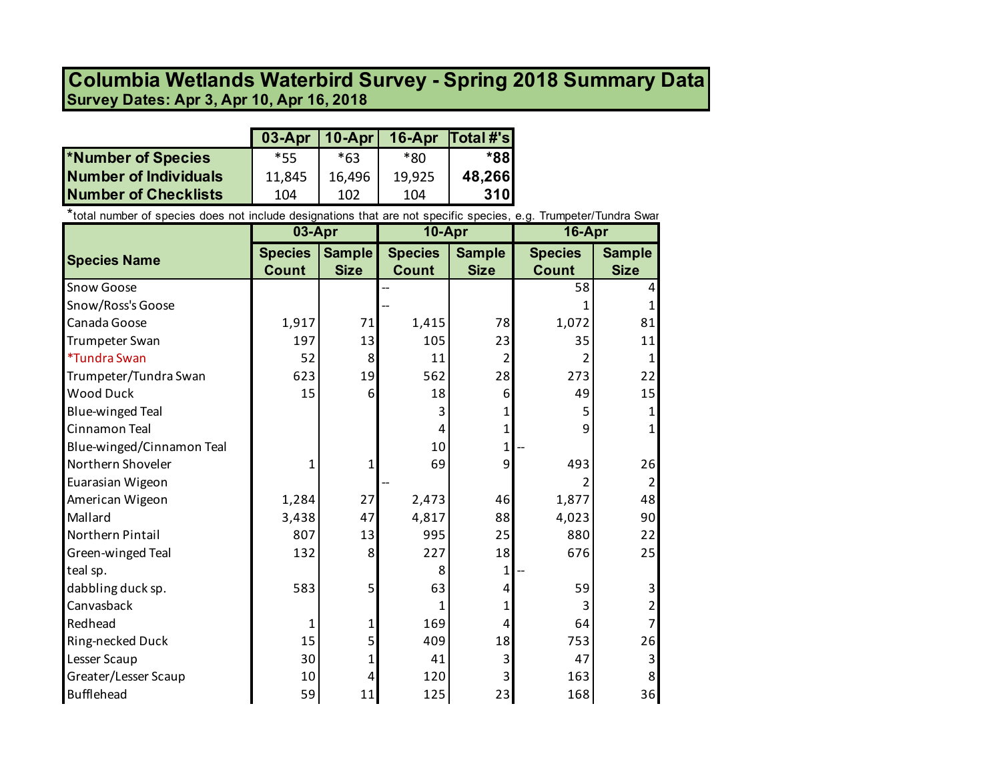## **Survey Dates: Apr 3, Apr 10, Apr 16, 2018 Columbia Wetlands Waterbird Survey - Spring 2018 Summary Data**

|                       | $03-Apr$   10-Apr |        | 16-Apr $\overline{Total H}$ 's |            |
|-----------------------|-------------------|--------|--------------------------------|------------|
| *Number of Species    | *55               | *63    | *ጸበ                            | *881       |
| Number of Individuals | 11,845            | 16,496 | 19,925                         | 48,266     |
| Number of Checklists  | 104               | 102    | 104                            | <b>310</b> |

\*total number of species does not include designations that are not specific species, e.g. Trumpeter/Tundra Swan

|                            | 03-Apr<br>10-Apr |               | 16-Apr         |               |                |                |
|----------------------------|------------------|---------------|----------------|---------------|----------------|----------------|
| <b>Species Name</b>        | <b>Species</b>   | <b>Sample</b> | <b>Species</b> | <b>Sample</b> | <b>Species</b> | <b>Sample</b>  |
|                            | <b>Count</b>     | <b>Size</b>   | <b>Count</b>   | <b>Size</b>   | <b>Count</b>   | <b>Size</b>    |
| Snow Goose                 |                  |               |                |               | 58             |                |
| Snow/Ross's Goose          |                  |               |                |               |                |                |
| Canada Goose               | 1,917            | 71            | 1,415          | 78            | 1,072          | 81             |
| Trumpeter Swan             | 197              | 13            | 105            | 23            | 35             | 11             |
| <i><b>*Tundra Swan</b></i> | 52               | 8             | 11             | 2             |                |                |
| Trumpeter/Tundra Swan      | 623              | 19            | 562            | 28            | 273            | 22             |
| <b>Wood Duck</b>           | 15               | 6             | 18             | 6             | 49             | 15             |
| <b>Blue-winged Teal</b>    |                  |               | 3              |               | 5              |                |
| Cinnamon Teal              |                  |               | 4              | 1             | 9              |                |
| Blue-winged/Cinnamon Teal  |                  |               | 10             | $\mathbf{1}$  |                |                |
| Northern Shoveler          | 1                | 1             | 69             | 9             | 493            | 26             |
| Euarasian Wigeon           |                  |               |                |               | 2              | 2              |
| American Wigeon            | 1,284            | 27            | 2,473          | 46            | 1,877          | 48             |
| Mallard                    | 3,438            | 47            | 4,817          | 88            | 4,023          | 90             |
| Northern Pintail           | 807              | 13            | 995            | 25            | 880            | 22             |
| Green-winged Teal          | 132              | 8             | 227            | 18            | 676            | 25             |
| teal sp.                   |                  |               | 8              | 1             |                |                |
| dabbling duck sp.          | 583              | 5             | 63             | 4             | 59             | 3              |
| Canvasback                 |                  |               | 1              |               | 3              | $\overline{2}$ |
| Redhead                    | 1                | 1             | 169            | 4             | 64             |                |
| Ring-necked Duck           | 15               | 5             | 409            | 18            | 753            | 26             |
| Lesser Scaup               | 30               |               | 41             |               | 47             | 3              |
| Greater/Lesser Scaup       | 10               | 4             | 120            |               | 163            | 8              |
| Bufflehead                 | 59               | 11            | 125            | 23            | 168            | 36             |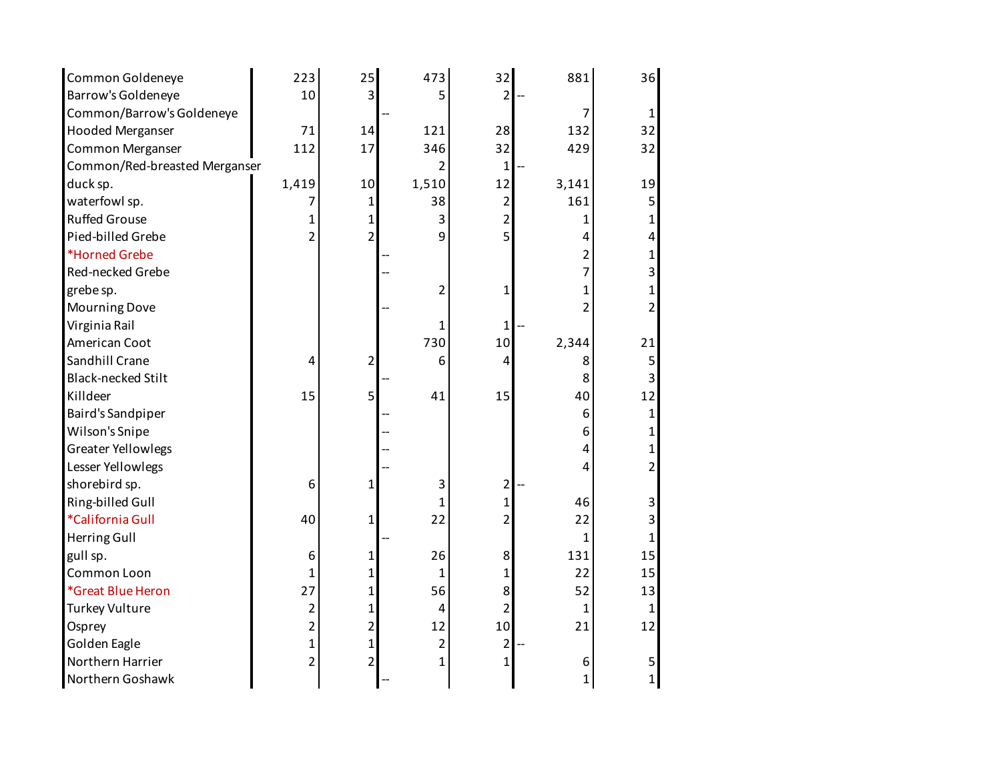| Common Goldeneye              | 223            | 25             | 473            | 32             | 881            | 36 |
|-------------------------------|----------------|----------------|----------------|----------------|----------------|----|
| Barrow's Goldeneye            | 10             | 3              | 5              | $\overline{2}$ |                |    |
| Common/Barrow's Goldeneye     |                |                |                |                | 7              | 1  |
| <b>Hooded Merganser</b>       | 71             | 14             | 121            | 28             | 132            | 32 |
| Common Merganser              | 112            | 17             | 346            | 32             | 429            | 32 |
| Common/Red-breasted Merganser |                |                | $\overline{2}$ | 1              |                |    |
| duck sp.                      | 1,419          | 10             | 1,510          | 12             | 3,141          | 19 |
| waterfowl sp.                 | 7              | 1              | 38             | $\overline{2}$ | 161            | 5  |
| <b>Ruffed Grouse</b>          | 1              | 1              | 3              | 2              | 1              |    |
| Pied-billed Grebe             | $\overline{2}$ | $\overline{2}$ | 9              | $\overline{5}$ | 4              | 4  |
| *Horned Grebe                 |                |                |                |                | $\overline{c}$ | 1  |
| Red-necked Grebe              |                |                |                |                | 7              | 3  |
| grebe sp.                     |                |                | $\overline{2}$ | 1              | 1              |    |
| <b>Mourning Dove</b>          |                |                |                |                | 2              | 2  |
| Virginia Rail                 |                |                | 1              | 1              |                |    |
| American Coot                 |                |                | 730            | 10             | 2,344          | 21 |
| Sandhill Crane                | 4              | $\overline{2}$ | 6              | 4              | 8              | 5  |
| <b>Black-necked Stilt</b>     |                |                |                |                | 8              | 3  |
| Killdeer                      | 15             | 5              | 41             | 15             | 40             | 12 |
| <b>Baird's Sandpiper</b>      |                |                |                |                | 6              |    |
| Wilson's Snipe                |                |                |                |                | 6              |    |
| <b>Greater Yellowlegs</b>     |                |                |                |                | 4              |    |
| Lesser Yellowlegs             |                |                |                |                | 4              | 2  |
| shorebird sp.                 | 6              | 1              | 3              | $\overline{2}$ |                |    |
| Ring-billed Gull              |                |                | 1              | $\mathbf{1}$   | 46             | 3  |
| *California Gull              | 40             | $\mathbf{1}$   | 22             | 2              | 22             | 3  |
| Herring Gull                  |                |                |                |                | $\mathbf{1}$   |    |
| gull sp.                      | 6              | 1              | 26             | 8              | 131            | 15 |
| Common Loon                   | $\mathbf{1}$   | 1              | $\mathbf{1}$   | $\mathbf{1}$   | 22             | 15 |
| *Great Blue Heron             | 27             | 1              | 56             | 8              | 52             | 13 |
| <b>Turkey Vulture</b>         | $\overline{2}$ | 1              | 4              | $\overline{2}$ | $\mathbf{1}$   | 1  |
| Osprey                        | $\overline{2}$ | 2              | 12             | 10             | 21             | 12 |
| Golden Eagle                  | 1              | 1              | $\overline{2}$ | $\overline{2}$ |                |    |
| Northern Harrier              | $\overline{2}$ | $\overline{2}$ | $\mathbf{1}$   | $\mathbf{1}$   | 6              | 5  |
| Northern Goshawk              |                |                |                |                | $\mathbf{1}$   | 1  |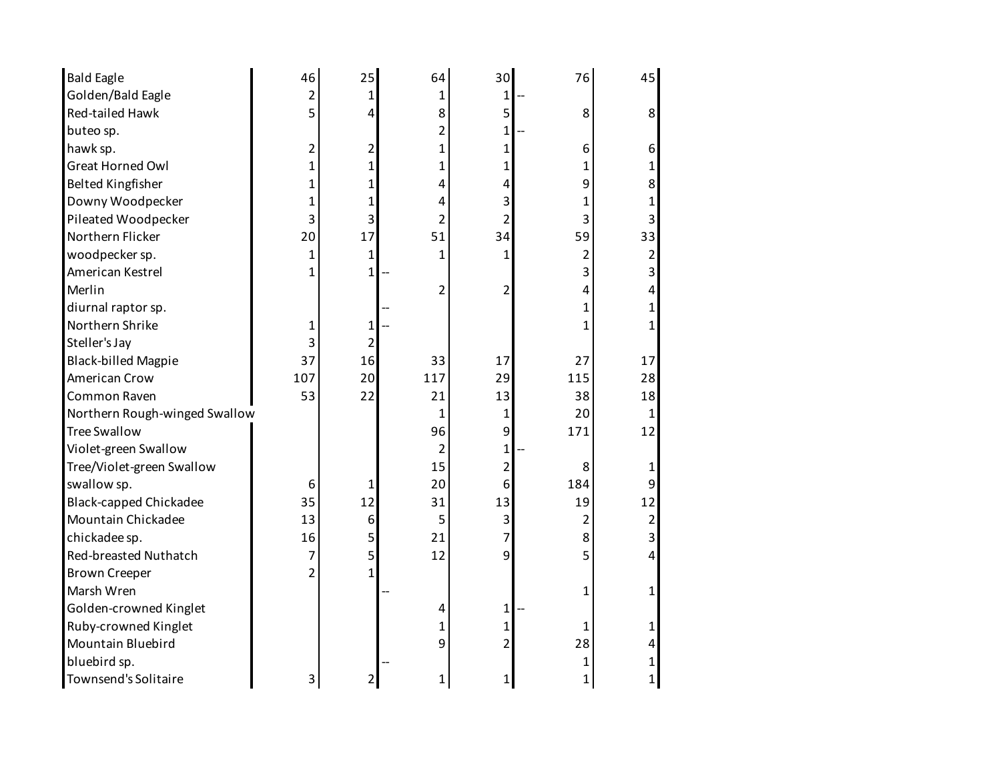| <b>Bald Eagle</b>             | 46             | 25           | 64             | 30                      | 76             | 45             |
|-------------------------------|----------------|--------------|----------------|-------------------------|----------------|----------------|
| Golden/Bald Eagle             | 2              | 1            | 1              | 1                       |                |                |
| <b>Red-tailed Hawk</b>        | 5              | 4            | 8              | 5                       | 8              | 8              |
| buteo sp.                     |                |              | 2              | $\mathbf{1}$            |                |                |
| hawk sp.                      | 2              | 2            | 1              | 1                       | 6              | 6              |
| <b>Great Horned Owl</b>       | 1              | 1            | 1              | 1                       | 1              | 1              |
| <b>Belted Kingfisher</b>      | 1              | 1            | 4              | 4                       | 9              | 8              |
| Downy Woodpecker              | 1              | 1            | 4              | 3                       | 1              | 1              |
| Pileated Woodpecker           | 3              | 3            | $\overline{2}$ | $\overline{2}$          | 3              | 3              |
| Northern Flicker              | 20             | 17           | 51             | 34                      | 59             | 33             |
| woodpecker sp.                | 1              | $\mathbf 1$  | 1              | 1                       | 2              | 2              |
| American Kestrel              | 1              | $\mathbf{1}$ |                |                         | 3              | 3              |
| Merlin                        |                |              | $\overline{2}$ | $\overline{2}$          | 4              | 4              |
| diurnal raptor sp.            |                |              |                |                         | 1              | 1              |
| Northern Shrike               | 1              | $\mathbf 1$  |                |                         |                |                |
| Steller's Jay                 | 3              | 2            |                |                         |                |                |
| <b>Black-billed Magpie</b>    | 37             | 16           | 33             | 17                      | 27             | 17             |
| American Crow                 | 107            | 20           | 117            | 29                      | 115            | 28             |
| Common Raven                  | 53             | 22           | 21             | 13                      | 38             | 18             |
| Northern Rough-winged Swallow |                |              | 1              | $\mathbf{1}$            | 20             | 1              |
| <b>Tree Swallow</b>           |                |              | 96             | 9                       | 171            | 12             |
| Violet-green Swallow          |                |              | $\overline{2}$ | $\mathbf{1}$            |                |                |
| Tree/Violet-green Swallow     |                |              | 15             | $\overline{2}$          | 8              |                |
| swallow sp.                   | 6              | 1            | 20             | 6                       | 184            | 9              |
| <b>Black-capped Chickadee</b> | 35             | 12           | 31             | 13                      | 19             | 12             |
| Mountain Chickadee            | 13             | 6            | 5              | $\overline{\mathbf{3}}$ | $\overline{2}$ | $\overline{2}$ |
| chickadee sp.                 | 16             | 5            | 21             | $\overline{7}$          | 8              | 3              |
| Red-breasted Nuthatch         | 7              | 5            | 12             | 9                       | 5              | 4              |
| <b>Brown Creeper</b>          | $\overline{2}$ | 1            |                |                         |                |                |
| Marsh Wren                    |                |              |                |                         | 1              | 1              |
| Golden-crowned Kinglet        |                |              | 4              | $\mathbf{1}$            |                |                |
| Ruby-crowned Kinglet          |                |              | 1              | 1                       | 1              | 1              |
| Mountain Bluebird             |                |              | 9              | $\overline{2}$          | 28             | 4              |
| bluebird sp.                  |                |              |                |                         | 1              |                |
| Townsend's Solitaire          | 3              | 2            | 1              | 1                       | 1              | 1              |